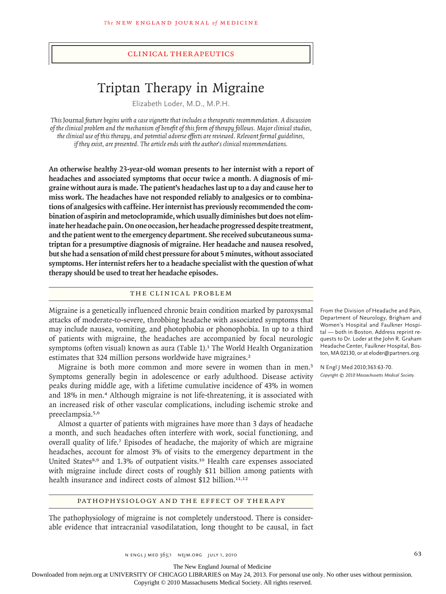# clinical therapeutics

# Triptan Therapy in Migraine

Elizabeth Loder, M.D., M.P.H.

*This* Journal *feature begins with a case vignette that includes a therapeutic recommendation. A discussion of the clinical problem and the mechanism of benefit of this form of therapy follows. Major clinical studies, the clinical use of this therapy, and potential adverse effects are reviewed. Relevant formal guidelines, if they exist, are presented. The article ends with the author's clinical recommendations.*

**An otherwise healthy 23-year-old woman presents to her internist with a report of headaches and associated symptoms that occur twice a month. A diagnosis of migraine without aura is made. The patient's headaches last up to a day and cause her to miss work. The headaches have not responded reliably to analgesics or to combinations of analgesics with caffeine. Her internist has previously recommended the combination of aspirin and metoclopramide, which usually diminishes but does not eliminate her headache pain. On one occasion, her headache progressed despite treatment, and the patient went to the emergency department. She received subcutaneous sumatriptan for a presumptive diagnosis of migraine. Her headache and nausea resolved, but she had a sensation of mild chest pressure for about 5 minutes, without associated symptoms. Her internist refers her to a headache specialist with the question of what therapy should be used to treat her headache episodes.**

# The Clinical Problem

Migraine is a genetically influenced chronic brain condition marked by paroxysmal attacks of moderate-to-severe, throbbing headache with associated symptoms that may include nausea, vomiting, and photophobia or phonophobia. In up to a third of patients with migraine, the headaches are accompanied by focal neurologic symptoms (often visual) known as aura (Table 1).<sup>1</sup> The World Health Organization estimates that 324 million persons worldwide have migraines.<sup>2</sup>

Migraine is both more common and more severe in women than in men.<sup>3</sup> Symptoms generally begin in adolescence or early adulthood. Disease activity peaks during middle age, with a lifetime cumulative incidence of 43% in women and 18% in men.4 Although migraine is not life-threatening, it is associated with an increased risk of other vascular complications, including ischemic stroke and preeclampsia.5,6

Almost a quarter of patients with migraines have more than 3 days of headache a month, and such headaches often interfere with work, social functioning, and overall quality of life.7 Episodes of headache, the majority of which are migraine headaches, account for almost 3% of visits to the emergency department in the United States<sup>8,9</sup> and 1.3% of outpatient visits.<sup>10</sup> Health care expenses associated with migraine include direct costs of roughly \$11 billion among patients with health insurance and indirect costs of almost \$12 billion.<sup>11,12</sup>

#### Pathophysiology and the Effect of Therapy

The pathophysiology of migraine is not completely understood. There is considerable evidence that intracranial vasodilatation, long thought to be causal, in fact

From the Division of Headache and Pain, Department of Neurology, Brigham and Women's Hospital and Faulkner Hospital — both in Boston. Address reprint requests to Dr. Loder at the John R. Graham Headache Center, Faulkner Hospital, Boston, MA 02130, or at eloder@partners.org.

N Engl J Med 2010;363:63-70. *Copyright © 2010 Massachusetts Medical Society.*

The New England Journal of Medicine

Downloaded from nejm.org at UNIVERSITY OF CHICAGO LIBRARIES on May 24, 2013. For personal use only. No other uses without permission.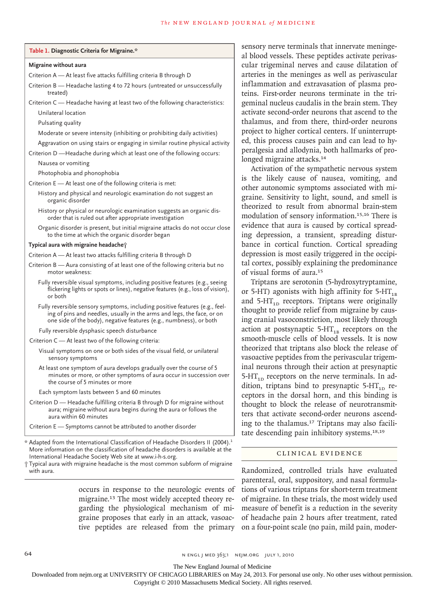**Table 1. Diagnostic Criteria for Migraine.\***

**Migraine without aura**

Criterion A — At least five attacks fulfilling criteria B through D

- Criterion B Headache lasting 4 to 72 hours (untreated or unsuccessfully treated)
- Criterion C Headache having at least two of the following characteristics: Unilateral location

Pulsating quality

Moderate or severe intensity (inhibiting or prohibiting daily activities)

Aggravation on using stairs or engaging in similar routine physical activity Criterion D —Headache during which at least one of the following occurs:

Nausea or vomiting

Photophobia and phonophobia

Criterion E — At least one of the following criteria is met:

- History and physical and neurologic examination do not suggest an organic disorder
- History or physical or neurologic examination suggests an organic disorder that is ruled out after appropriate investigation
- Organic disorder is present, but initial migraine attacks do not occur close to the time at which the organic disorder began

#### **Typical aura with migraine headache†**

Criterion A — At least two attacks fulfilling criteria B through D

- Criterion B Aura consisting of at least one of the following criteria but no motor weakness:
	- Fully reversible visual symptoms, including positive features (e.g., seeing flickering lights or spots or lines), negative features (e.g., loss of vision), or both
	- Fully reversible sensory symptoms, including positive features (e.g., feeling of pins and needles, usually in the arms and legs, the face, or on one side of the body), negative features (e.g., numbness), or both
	- Fully reversible dysphasic speech disturbance
- Criterion C At least two of the following criteria:
	- Visual symptoms on one or both sides of the visual field, or unilateral sensory symptoms
	- At least one symptom of aura develops gradually over the course of 5 minutes or more, or other symptoms of aura occur in succession over the course of 5 minutes or more

Each symptom lasts between 5 and 60 minutes

Criterion D — Headache fulfilling criteria B through D for migraine without aura; migraine without aura begins during the aura or follows the aura within 60 minutes

Criterion E — Symptoms cannot be attributed to another disorder

\* Adapted from the International Classification of Headache Disorders II (2004).<sup>1</sup> More information on the classification of headache disorders is available at the International Headache Society Web site at www.i-h-s.org.

† Typical aura with migraine headache is the most common subform of migraine with aura.

> occurs in response to the neurologic events of migraine.13 The most widely accepted theory regarding the physiological mechanism of migraine proposes that early in an attack, vasoactive peptides are released from the primary

sensory nerve terminals that innervate meningeal blood vessels. These peptides activate perivascular trigeminal nerves and cause dilatation of arteries in the meninges as well as perivascular inflammation and extravasation of plasma proteins. First-order neurons terminate in the trigeminal nucleus caudalis in the brain stem. They activate second-order neurons that ascend to the thalamus, and from there, third-order neurons project to higher cortical centers. If uninterrupted, this process causes pain and can lead to hyperalgesia and allodynia, both hallmarks of prolonged migraine attacks.<sup>14</sup>

Activation of the sympathetic nervous system is the likely cause of nausea, vomiting, and other autonomic symptoms associated with migraine. Sensitivity to light, sound, and smell is theorized to result from abnormal brain-stem modulation of sensory information.15,16 There is evidence that aura is caused by cortical spreading depression, a transient, spreading disturbance in cortical function. Cortical spreading depression is most easily triggered in the occipital cortex, possibly explaining the predominance of visual forms of aura.<sup>15</sup>

Triptans are serotonin (5-hydroxytryptamine, or 5-HT) agonists with high affinity for  $5-HT_{1B}$ and  $5-HT<sub>1D</sub>$  receptors. Triptans were originally thought to provide relief from migraine by causing cranial vasoconstriction, most likely through action at postsynaptic 5-HT $_{1B}$  receptors on the smooth-muscle cells of blood vessels. It is now theorized that triptans also block the release of vasoactive peptides from the perivascular trigeminal neurons through their action at presynaptic  $5-HT<sub>1D</sub>$  receptors on the nerve terminals. In addition, triptans bind to presynaptic  $5-HT_{1D}$  receptors in the dorsal horn, and this binding is thought to block the release of neurotransmitters that activate second-order neurons ascending to the thalamus.17 Triptans may also facilitate descending pain inhibitory systems.18,19

#### Clinical Evidence

Randomized, controlled trials have evaluated parenteral, oral, suppository, and nasal formulations of various triptans for short-term treatment of migraine. In these trials, the most widely used measure of benefit is a reduction in the severity of headache pain 2 hours after treatment, rated on a four-point scale (no pain, mild pain, moder-

The New England Journal of Medicine

Downloaded from nejm.org at UNIVERSITY OF CHICAGO LIBRARIES on May 24, 2013. For personal use only. No other uses without permission.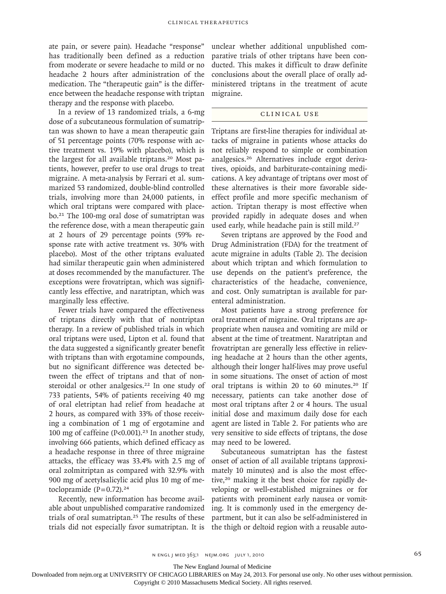ate pain, or severe pain). Headache "response" has traditionally been defined as a reduction from moderate or severe headache to mild or no headache 2 hours after administration of the medication. The "therapeutic gain" is the difference between the headache response with triptan therapy and the response with placebo.

In a review of 13 randomized trials, a 6-mg dose of a subcutaneous formulation of sumatriptan was shown to have a mean therapeutic gain of 51 percentage points (70% response with active treatment vs. 19% with placebo), which is the largest for all available triptans.<sup>20</sup> Most patients, however, prefer to use oral drugs to treat migraine. A meta-analysis by Ferrari et al. summarized 53 randomized, double-blind controlled trials, involving more than 24,000 patients, in which oral triptans were compared with placebo.21 The 100-mg oral dose of sumatriptan was the reference dose, with a mean therapeutic gain at 2 hours of 29 percentage points (59% response rate with active treatment vs. 30% with placebo). Most of the other triptans evaluated had similar therapeutic gain when administered at doses recommended by the manufacturer. The exceptions were frovatriptan, which was significantly less effective, and naratriptan, which was marginally less effective.

Fewer trials have compared the effectiveness of triptans directly with that of nontriptan therapy. In a review of published trials in which oral triptans were used, Lipton et al. found that the data suggested a significantly greater benefit with triptans than with ergotamine compounds, but no significant difference was detected between the effect of triptans and that of nonsteroidal or other analgesics.<sup>22</sup> In one study of 733 patients, 54% of patients receiving 40 mg of oral eletriptan had relief from headache at 2 hours, as compared with 33% of those receiving a combination of 1 mg of ergotamine and 100 mg of caffeine (P<0.001).<sup>23</sup> In another study, involving 666 patients, which defined efficacy as a headache response in three of three migraine attacks, the efficacy was 33.4% with 2.5 mg of oral zolmitriptan as compared with 32.9% with 900 mg of acetylsalicylic acid plus 10 mg of metoclopramide  $(P=0.72)$ .<sup>24</sup>

Recently, new information has become available about unpublished comparative randomized trials of oral sumatriptan.25 The results of these trials did not especially favor sumatriptan. It is unclear whether additional unpublished comparative trials of other triptans have been conducted. This makes it difficult to draw definite conclusions about the overall place of orally administered triptans in the treatment of acute migraine.

# Clinical Use

Triptans are first-line therapies for individual attacks of migraine in patients whose attacks do not reliably respond to simple or combination analgesics.26 Alternatives include ergot derivatives, opioids, and barbiturate-containing medications. A key advantage of triptans over most of these alternatives is their more favorable sideeffect profile and more specific mechanism of action. Triptan therapy is most effective when provided rapidly in adequate doses and when used early, while headache pain is still mild.<sup>27</sup>

Seven triptans are approved by the Food and Drug Administration (FDA) for the treatment of acute migraine in adults (Table 2). The decision about which triptan and which formulation to use depends on the patient's preference, the characteristics of the headache, convenience, and cost. Only sumatriptan is available for parenteral administration.

Most patients have a strong preference for oral treatment of migraine. Oral triptans are appropriate when nausea and vomiting are mild or absent at the time of treatment. Naratriptan and frovatriptan are generally less effective in relieving headache at 2 hours than the other agents, although their longer half-lives may prove useful in some situations. The onset of action of most oral triptans is within 20 to 60 minutes.20 If necessary, patients can take another dose of most oral triptans after 2 or 4 hours. The usual initial dose and maximum daily dose for each agent are listed in Table 2. For patients who are very sensitive to side effects of triptans, the dose may need to be lowered.

Subcutaneous sumatriptan has the fastest onset of action of all available triptans (approximately 10 minutes) and is also the most effective,<sup>20</sup> making it the best choice for rapidly developing or well-established migraines or for patients with prominent early nausea or vomiting. It is commonly used in the emergency department, but it can also be self-administered in the thigh or deltoid region with a reusable auto-

The New England Journal of Medicine

Downloaded from nejm.org at UNIVERSITY OF CHICAGO LIBRARIES on May 24, 2013. For personal use only. No other uses without permission.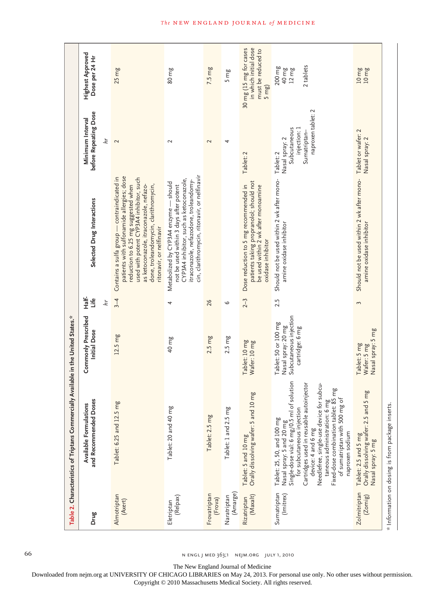|                          | Table 2. Characteristics of Triptans Commercially Av                                                                                                                                                                                                                                                                                                                        | ailable in the United States.*                                                          |                |                                                                                                                                                                                                                                                                                           |                                                                                                   |                                                                                    |
|--------------------------|-----------------------------------------------------------------------------------------------------------------------------------------------------------------------------------------------------------------------------------------------------------------------------------------------------------------------------------------------------------------------------|-----------------------------------------------------------------------------------------|----------------|-------------------------------------------------------------------------------------------------------------------------------------------------------------------------------------------------------------------------------------------------------------------------------------------|---------------------------------------------------------------------------------------------------|------------------------------------------------------------------------------------|
| Drug                     | and Recommended Doses<br>Available Formulations                                                                                                                                                                                                                                                                                                                             | Commonly Prescribed<br><b>Initial Dose</b>                                              | 当<br>王<br>€أنا | Selected Drug Interactions                                                                                                                                                                                                                                                                | before Repeating Dose<br>Minimum Interval                                                         | <b>Highest Approved</b><br>Dose per 24 Hr                                          |
|                          |                                                                                                                                                                                                                                                                                                                                                                             |                                                                                         | À              |                                                                                                                                                                                                                                                                                           | Àr                                                                                                |                                                                                    |
| Almotriptan<br>(Axert)   | Tablet: 6.25 and 12.5 mg                                                                                                                                                                                                                                                                                                                                                    | 12.5 mg                                                                                 | $3 - 4$        | patients with sulfonamide allergies; dose<br>Contains a sulfa group — contraindicated in<br>used with potent CYP3A4 inhibitor, such<br>as ketoconazole, itraconazole, nefazo-<br>done, troleandomycin, clarithromycin,<br>reduction to 6.25 mg suggested when<br>ritonavir, or nelfinavir | 2                                                                                                 | 25 <sub>mg</sub>                                                                   |
| (Relpax)<br>Eletriptan   | Tablet: 20 and 40 mg                                                                                                                                                                                                                                                                                                                                                        | 40 mg                                                                                   | 4              | cin, clarithromycin, ritonavir, or nelfinavir<br>CYP3A4 inhibitor, such as ketoconazole,<br>itraconazole, nefazodone, troleandomy-<br>Metabolized by CYP3A4 enzyme - should<br>not be used within 3 days after potent                                                                     | $\sim$                                                                                            | 80 mg                                                                              |
| Frovatriptan<br>(Frova)  | Tablet: 2.5 mg                                                                                                                                                                                                                                                                                                                                                              | 2.5 <sub>mg</sub>                                                                       | 26             |                                                                                                                                                                                                                                                                                           | $\sim$                                                                                            | 7.5 mg                                                                             |
| (Amarge)<br>Naratriptan  | Tablet: 1 and 2.5 mg                                                                                                                                                                                                                                                                                                                                                        | 2.5 mg                                                                                  | $\circ$        |                                                                                                                                                                                                                                                                                           | 4                                                                                                 | 5 <sub>mg</sub>                                                                    |
| (Maxalt)<br>Rizatriptan  | Orally dissolving wafer: 5 and 10 mg<br>Tablet: 5 and 10 mg                                                                                                                                                                                                                                                                                                                 | Tablet: 10 mg<br>Wafer: 10 mg                                                           | $2 - 3$        | patients taking propranolol; should not<br>be used within 2 wk after monoamine<br>Dose reduction to 5 mg recommended in<br>oxidase inhibitor                                                                                                                                              | Tablet: 2                                                                                         | in which initial dose<br>30 mg (15 mg for cases<br>must be reduced to<br>$5 \, mg$ |
| Sumatriptan<br>(Imitrex) | Nasal spray: 5 and 20 mg<br>Single-dose vial: 6 mg/0.5 ml of solution<br>Cartridges used in reusable autoinjector<br>device: 4 and 6 mg<br>Needlefree, single-use device for subcu-<br>taneous administration: 6 mg<br>Fixed-dose combination tablet: 85 mg<br>of sumatriptan with 500 mg of<br>for subcutaneous injection<br>Tablet: 25, 50, and 100 mg<br>naproxen sodium | Subcutaneous injection<br>Tablet: 50 or 100 mg<br>Nasal spray: 20 mg<br>cartridge: 6 mg | 2.5            | Should not be used within 2 wk after mono-<br>amine oxidase inhibitor                                                                                                                                                                                                                     | naproxen tablet: 2<br>injection: 1<br>Subcutaneous<br>Sumatriptan-<br>Nasal spray: 2<br>Tablet: 2 | 2 tablets<br>200 mg<br>40 mg<br>$12 \, \text{mg}$                                  |
| Zolmitriptan<br>(Zomig)  | Orally dissolving wafer: 2.5 and 5 mg<br>Tablet: 2.5 and 5 mg<br>Nasal spray: 5 mg                                                                                                                                                                                                                                                                                          | Nasal spray: 5 mg<br>Tablet: 5 mg<br>Wafer: 5 mg                                        | 3              | Should not be used within 2 wk after mono-<br>amine oxidase inhibitor                                                                                                                                                                                                                     | Tablet or wafer: 2<br>Nasal spray: 2                                                              | 10 mg<br>10 <sub>mg</sub>                                                          |

The New England Journal of Medicine

Downloaded from nejm.org at UNIVERSITY OF CHICAGO LIBRARIES on May 24, 2013. For personal use only. No other uses without permission.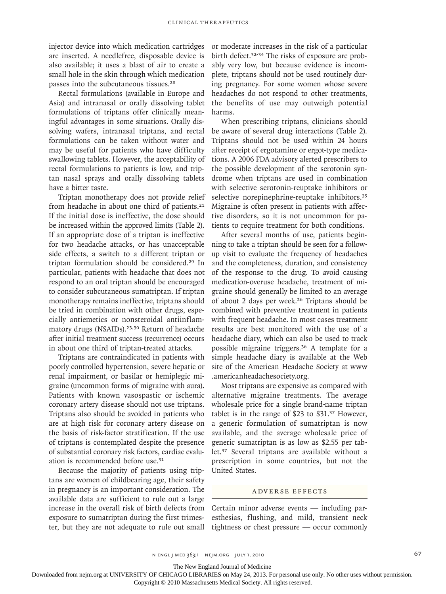injector device into which medication cartridges are inserted. A needlefree, disposable device is also available; it uses a blast of air to create a small hole in the skin through which medication passes into the subcutaneous tissues.<sup>28</sup>

Rectal formulations (available in Europe and Asia) and intranasal or orally dissolving tablet formulations of triptans offer clinically meaningful advantages in some situations. Orally dissolving wafers, intranasal triptans, and rectal formulations can be taken without water and may be useful for patients who have difficulty swallowing tablets. However, the acceptability of rectal formulations to patients is low, and triptan nasal sprays and orally dissolving tablets have a bitter taste.

Triptan monotherapy does not provide relief from headache in about one third of patients.<sup>21</sup> If the initial dose is ineffective, the dose should be increased within the approved limits (Table 2). If an appropriate dose of a triptan is ineffective for two headache attacks, or has unacceptable side effects, a switch to a different triptan or triptan formulation should be considered.29 In particular, patients with headache that does not respond to an oral triptan should be encouraged to consider subcutaneous sumatriptan. If triptan monotherapy remains ineffective, triptans should be tried in combination with other drugs, especially antiemetics or nonsteroidal antiinflammatory drugs (NSAIDs).<sup>23,30</sup> Return of headache after initial treatment success (recurrence) occurs in about one third of triptan-treated attacks.

Triptans are contraindicated in patients with poorly controlled hypertension, severe hepatic or renal impairment, or basilar or hemiplegic migraine (uncommon forms of migraine with aura). Patients with known vasospastic or ischemic coronary artery disease should not use triptans. Triptans also should be avoided in patients who are at high risk for coronary artery disease on the basis of risk-factor stratification. If the use of triptans is contemplated despite the presence of substantial coronary risk factors, cardiac evaluation is recommended before use.<sup>31</sup>

Because the majority of patients using triptans are women of childbearing age, their safety in pregnancy is an important consideration. The available data are sufficient to rule out a large increase in the overall risk of birth defects from exposure to sumatriptan during the first trimester, but they are not adequate to rule out small or moderate increases in the risk of a particular birth defect.<sup>32-34</sup> The risks of exposure are probably very low, but because evidence is incomplete, triptans should not be used routinely during pregnancy. For some women whose severe headaches do not respond to other treatments, the benefits of use may outweigh potential harms.

When prescribing triptans, clinicians should be aware of several drug interactions (Table 2). Triptans should not be used within 24 hours after receipt of ergotamine or ergot-type medications. A 2006 FDA advisory alerted prescribers to the possible development of the serotonin syndrome when triptans are used in combination with selective serotonin-reuptake inhibitors or selective norepinephrine-reuptake inhibitors.<sup>35</sup> Migraine is often present in patients with affective disorders, so it is not uncommon for patients to require treatment for both conditions.

After several months of use, patients beginning to take a triptan should be seen for a followup visit to evaluate the frequency of headaches and the completeness, duration, and consistency of the response to the drug. To avoid causing medication-overuse headache, treatment of migraine should generally be limited to an average of about 2 days per week.26 Triptans should be combined with preventive treatment in patients with frequent headache. In most cases treatment results are best monitored with the use of a headache diary, which can also be used to track possible migraine triggers.36 A template for a simple headache diary is available at the Web site of the American Headache Society at www .americanheadachesociety.org.

Most triptans are expensive as compared with alternative migraine treatments. The average wholesale price for a single brand-name triptan tablet is in the range of \$23 to \$31.37 However, a generic formulation of sumatriptan is now available, and the average wholesale price of generic sumatriptan is as low as \$2.55 per tablet.37 Several triptans are available without a prescription in some countries, but not the United States.

### Adverse Effects

Certain minor adverse events — including paresthesias, flushing, and mild, transient neck tightness or chest pressure — occur commonly

The New England Journal of Medicine

Downloaded from nejm.org at UNIVERSITY OF CHICAGO LIBRARIES on May 24, 2013. For personal use only. No other uses without permission.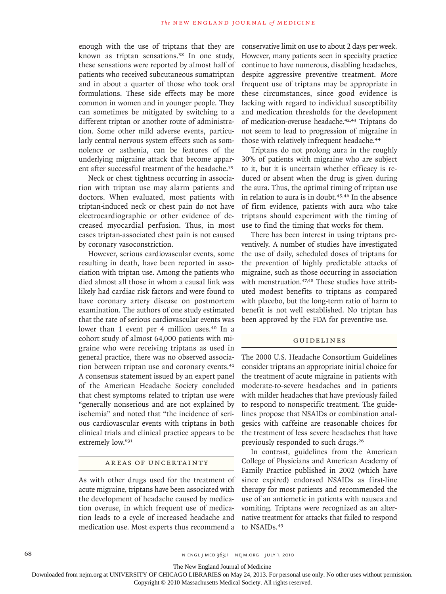enough with the use of triptans that they are known as triptan sensations.<sup>38</sup> In one study, these sensations were reported by almost half of patients who received subcutaneous sumatriptan and in about a quarter of those who took oral formulations. These side effects may be more common in women and in younger people. They can sometimes be mitigated by switching to a different triptan or another route of administration. Some other mild adverse events, particularly central nervous system effects such as somnolence or asthenia, can be features of the underlying migraine attack that become apparent after successful treatment of the headache.<sup>39</sup>

Neck or chest tightness occurring in association with triptan use may alarm patients and doctors. When evaluated, most patients with triptan-induced neck or chest pain do not have electrocardiographic or other evidence of decreased myocardial perfusion. Thus, in most cases triptan-associated chest pain is not caused by coronary vasoconstriction.

However, serious cardiovascular events, some resulting in death, have been reported in association with triptan use. Among the patients who died almost all those in whom a causal link was likely had cardiac risk factors and were found to have coronary artery disease on postmortem examination. The authors of one study estimated that the rate of serious cardiovascular events was lower than 1 event per 4 million uses.<sup>40</sup> In a cohort study of almost 64,000 patients with migraine who were receiving triptans as used in general practice, there was no observed association between triptan use and coronary events.<sup>41</sup> A consensus statement issued by an expert panel of the American Headache Society concluded that chest symptoms related to triptan use were "generally nonserious and are not explained by ischemia" and noted that "the incidence of serious cardiovascular events with triptans in both clinical trials and clinical practice appears to be extremely low."<sup>31</sup>

#### Areas of Uncertainty

As with other drugs used for the treatment of acute migraine, triptans have been associated with the development of headache caused by medication overuse, in which frequent use of medication leads to a cycle of increased headache and medication use. Most experts thus recommend a conservative limit on use to about 2 days per week. However, many patients seen in specialty practice continue to have numerous, disabling headaches, despite aggressive preventive treatment. More frequent use of triptans may be appropriate in these circumstances, since good evidence is lacking with regard to individual susceptibility and medication thresholds for the development of medication-overuse headache.42,43 Triptans do not seem to lead to progression of migraine in those with relatively infrequent headache.<sup>44</sup>

Triptans do not prolong aura in the roughly 30% of patients with migraine who are subject to it, but it is uncertain whether efficacy is reduced or absent when the drug is given during the aura. Thus, the optimal timing of triptan use in relation to aura is in doubt.<sup>45,46</sup> In the absence of firm evidence, patients with aura who take triptans should experiment with the timing of use to find the timing that works for them.

There has been interest in using triptans preventively. A number of studies have investigated the use of daily, scheduled doses of triptans for the prevention of highly predictable attacks of migraine, such as those occurring in association with menstruation.<sup>47,48</sup> These studies have attributed modest benefits to triptans as compared with placebo, but the long-term ratio of harm to benefit is not well established. No triptan has been approved by the FDA for preventive use.

# Guidelines

The 2000 U.S. Headache Consortium Guidelines consider triptans an appropriate initial choice for the treatment of acute migraine in patients with moderate-to-severe headaches and in patients with milder headaches that have previously failed to respond to nonspecific treatment. The guidelines propose that NSAIDs or combination analgesics with caffeine are reasonable choices for the treatment of less severe headaches that have previously responded to such drugs.<sup>26</sup>

In contrast, guidelines from the American College of Physicians and American Academy of Family Practice published in 2002 (which have since expired) endorsed NSAIDs as first-line therapy for most patients and recommended the use of an antiemetic in patients with nausea and vomiting. Triptans were recognized as an alternative treatment for attacks that failed to respond to NSAIDs.<sup>49</sup>

68 **68** n engl j med 363;1 nejm.org july 1, 2010

The New England Journal of Medicine

Downloaded from nejm.org at UNIVERSITY OF CHICAGO LIBRARIES on May 24, 2013. For personal use only. No other uses without permission.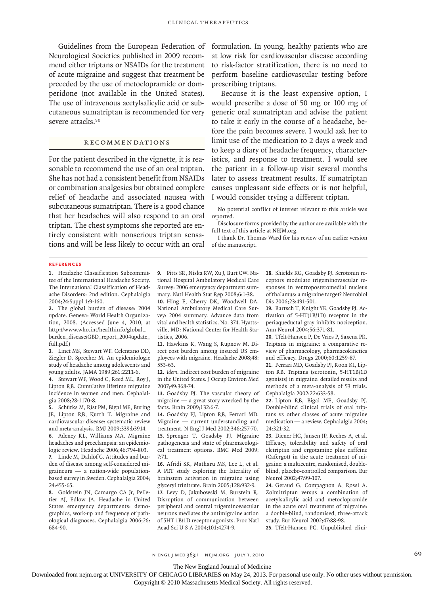Neurological Societies published in 2009 recommend either triptans or NSAIDs for the treatment of acute migraine and suggest that treatment be preceded by the use of metoclopramide or domperidone (not available in the United States). The use of intravenous acetylsalicylic acid or subcutaneous sumatriptan is recommended for very severe attacks.<sup>50</sup>

# **RECOMMENDATIONS**

For the patient described in the vignette, it is reasonable to recommend the use of an oral triptan. She has not had a consistent benefit from NSAIDs or combination analgesics but obtained complete relief of headache and associated nausea with subcutaneous sumatriptan. There is a good chance that her headaches will also respond to an oral reported. triptan. The chest symptoms she reported are entirely consistent with nonserious triptan sensations and will be less likely to occur with an oral

Guidelines from the European Federation of formulation. In young, healthy patients who are at low risk for cardiovascular disease according to risk-factor stratification, there is no need to perform baseline cardiovascular testing before prescribing triptans.

> Because it is the least expensive option, I would prescribe a dose of 50 mg or 100 mg of generic oral sumatriptan and advise the patient to take it early in the course of a headache, before the pain becomes severe. I would ask her to limit use of the medication to 2 days a week and to keep a diary of headache frequency, characteristics, and response to treatment. I would see the patient in a follow-up visit several months later to assess treatment results. If sumatriptan causes unpleasant side effects or is not helpful, I would consider trying a different triptan.

No potential conflict of interest relevant to this article was

Disclosure forms provided by the author are available with the full text of this article at NEJM.org.

I thank Dr. Thomas Ward for his review of an earlier version of the manuscript.

#### **References**

**1.** Headache Classification Subcommittee of the International Headache Society. The International Classification of Headache Disorders: 2nd edition. Cephalalgia 2004;24:Suppl 1:9-160.

**2.** The global burden of disease: 2004 update. Geneva: World Health Organization, 2008. (Accessed June 4, 2010, at http://www.who.int/healthinfo/global\_ burden\_disease/GBD\_report\_2004update\_ full.pdf.)

**3.** Linet MS, Stewart WF, Celentano DD, Ziegler D, Sprecher M. An epidemiologic study of headache among adolescents and young adults. JAMA 1989;261:2211-6.

**4.** Stewart WF, Wood C, Reed ML, Roy J, Lipton RB. Cumulative lifetime migraine incidence in women and men. Cephalalgia 2008;28:1170-8.

**5.** Schürks M, Rist PM, Bigal ME, Buring JE, Lipton RB, Kurth T. Migraine and cardiovascular disease: systematic review and meta-analysis. BMJ 2009;339:b3914. **6.** Adeney KL, Williams MA. Migraine headaches and preeclampsia: an epidemiologic review. Headache 2006;46:794-803. **7.** Linde M, Dahlöf C. Attitudes and burden of disease among self-considered migraineurs — a nation-wide populationbased survey in Sweden. Cephalalgia 2004; 24:455-65.

**8.** Goldstein JN, Camargo CA Jr, Pelletier AJ, Edlow JA. Headache in United States emergency departments: demographics, work-up and frequency of pathological diagnoses. Cephalalgia 2006;26: 684-90.

**9.** Pitts SR, Niska RW, Xu J, Burt CW. National Hospital Ambulatory Medical Care Survey: 2006 emergency department summary. Natl Health Stat Rep 2008;6:1-38. **10.** Hing E, Cherry DK, Woodwell DA. National Ambulatory Medical Care Survey: 2004 summary. Advance data from vital and health statistics. No. 374. Hyattsville, MD: National Center for Health Statistics, 2006.

**11.** Hawkins K, Wang S, Rupnow M. Direct cost burden among insured US employees with migraine. Headache 2008;48: 553-63.

**12.** *Idem*. Indirect cost burden of migraine in the United States. J Occup Environ Med 2007;49:368-74.

**13.** Goadsby PJ. The vascular theory of migraine — a great story wrecked by the facts. Brain 2009;132:6-7.

**14.** Goadsby PJ, Lipton RB, Ferrari MD. Migraine — current understanding and treatment. N Engl J Med 2002;346:257-70. **15.** Sprenger T, Goadsby PJ. Migraine pathogenesis and state of pharmacological treatment options. BMC Med 2009; 7:71.

**16.** Afridi SK, Matharu MS, Lee L, et al. A PET study exploring the laterality of brainstem activation in migraine using glyceryl trinitrate. Brain 2005;128:932-9. **17.** Levy D, Jakubowski M, Burstein R. Disruption of communication between peripheral and central trigeminovascular neurons mediates the antimigraine action of 5HT 1B/1D receptor agonists. Proc Natl Acad Sci U S A 2004;101:4274-9.

**18.** Shields KG, Goadsby PJ. Serotonin receptors modulate trigeminovascular responses in ventroposteromedial nucleus of thalamus: a migraine target? Neurobiol Dis 2006;23:491-501.

**19.** Bartsch T, Knight YE, Goadsby PJ. Activation of 5-HT(1B/1D) receptor in the periaqueductal gray inhibits nociception. Ann Neurol 2004;56:371-81.

**20.** Tfelt-Hansen P, De Vries P, Saxena PR. Triptans in migraine: a comparative review of pharmacology, pharmacokinetics and efficacy. Drugs 2000;60:1259-87.

**21.** Ferrari MD, Goadsby PJ, Roon KI, Lipton RB. Triptans (serotonin, 5-HT1B/1D agonists) in migraine: detailed results and methods of a meta-analysis of 53 trials. Cephalalgia 2002;22:633-58.

**22.** Lipton RB, Bigal ME, Goadsby PJ. Double-blind clinical trials of oral triptans vs other classes of acute migraine medication — a review. Cephalalgia 2004; 24:321-32.

**23.** Diener HC, Jansen JP, Reches A, et al. Efficacy, tolerability and safety of oral eletriptan and ergotamine plus caffeine (Cafergot) in the acute treatment of migraine: a multicentre, randomised, doubleblind, placebo-controlled comparison. Eur Neurol 2002;47:99-107.

**24.** Geraud G, Compagnon A, Rossi A. Zolmitriptan versus a combination of acetylsalicylic acid and metoclopramide in the acute oral treatment of migraine: a double-blind, randomised, three-attack study. Eur Neurol 2002;47:88-98.

**25.** Tfelt-Hansen PC. Unpublished clini-

 $N$  engl j med 363;1  $N$  elm.org july 1, 2010 69

The New England Journal of Medicine

Downloaded from nejm.org at UNIVERSITY OF CHICAGO LIBRARIES on May 24, 2013. For personal use only. No other uses without permission.